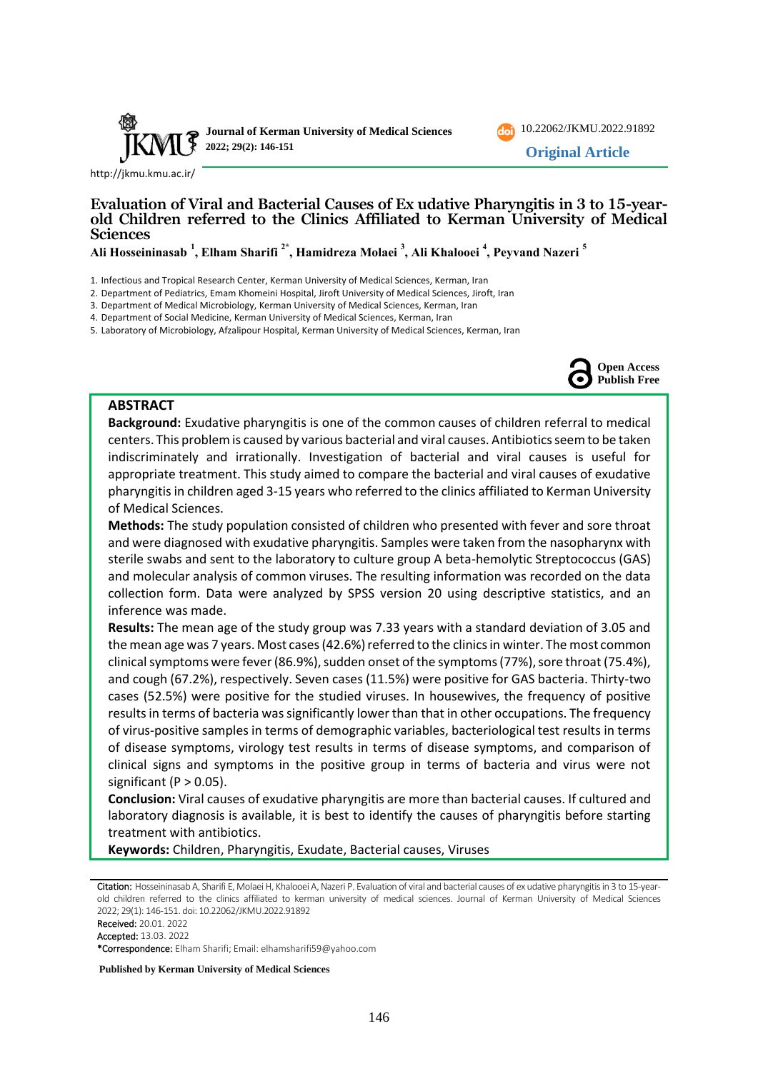

[10.22062/JKMU.2022.91892](https://dx.doi.org/10.22062/jkmu.2022.91892) **Original Article**

<http://jkmu.kmu.ac.ir/>

## **Evaluation of Viral and Bacterial Causes of Ex udative Pharyngitis in 3 to 15-yearold Children referred to the Clinics Affiliated to Kerman University of Medical Sciences**

**Ali Hosseininasab <sup>1</sup> , Elham Sharifi 2\* , Hamidreza Molaei <sup>3</sup> , Ali Khalooei <sup>4</sup> , Peyvand Nazeri <sup>5</sup>**

- 1. Infectious and Tropical Research Center, Kerman University of Medical Sciences, Kerman, Iran
- 2. Department of Pediatrics, Emam Khomeini Hospital, Jiroft University of Medical Sciences, Jiroft, Iran
- 3. Department of Medical Microbiology, Kerman University of Medical Sciences, Kerman, Iran
- 4. Department of Social Medicine, Kerman University of Medical Sciences, Kerman, Iran
- 5. Laboratory of Microbiology, Afzalipour Hospital, Kerman University of Medical Sciences, Kerman, Iran



## **ABSTRACT**

**Background:** Exudative pharyngitis is one of the common causes of children referral to medical centers. This problem is caused by various bacterial and viral causes. Antibiotics seem to be taken indiscriminately and irrationally. Investigation of bacterial and viral causes is useful for appropriate treatment. This study aimed to compare the bacterial and viral causes of exudative pharyngitis in children aged 3-15 years who referred to the clinics affiliated to Kerman University of Medical Sciences.

**Methods:** The study population consisted of children who presented with fever and sore throat and were diagnosed with exudative pharyngitis. Samples were taken from the nasopharynx with sterile swabs and sent to the laboratory to culture group A beta-hemolytic Streptococcus (GAS) and molecular analysis of common viruses. The resulting information was recorded on the data collection form. Data were analyzed by SPSS version 20 using descriptive statistics, and an inference was made.

**Results:** The mean age of the study group was 7.33 years with a standard deviation of 3.05 and the mean age was 7 years. Most cases (42.6%) referred to the clinics in winter. The most common clinical symptoms were fever (86.9%), sudden onset of the symptoms (77%), sore throat (75.4%), and cough (67.2%), respectively. Seven cases (11.5%) were positive for GAS bacteria. Thirty-two cases (52.5%) were positive for the studied viruses. In housewives, the frequency of positive results in terms of bacteria was significantly lower than that in other occupations. The frequency of virus-positive samples in terms of demographic variables, bacteriological test results in terms of disease symptoms, virology test results in terms of disease symptoms, and comparison of clinical signs and symptoms in the positive group in terms of bacteria and virus were not significant ( $P > 0.05$ ).

**Conclusion:** Viral causes of exudative pharyngitis are more than bacterial causes. If cultured and laboratory diagnosis is available, it is best to identify the causes of pharyngitis before starting treatment with antibiotics.

**Keywords:** Children, Pharyngitis, Exudate, Bacterial causes, Viruses

Citation: Hosseininasab A, Sharifi E, Molaei H, Khalooei A, Nazeri P, Evaluation of viral and bacterial causes of ex udative pharyngitis in 3 to 15-yearold children referred to the clinics affiliated to kerman university of medical sciences. Journal of Kerman University of Medical Sciences 2022; 29(1): 146-151. doi: [10.22062/JKMU.2022.91892](https://dx.doi.org/10.22062/jkmu.2022.91892)

Received: 20.01. 2022

Accepted: 13.03. 2022

\*Correspondence: Elham Sharifi; Email: elhamsharifi59@yahoo.com

**Published by Kerman University of Medical Sciences**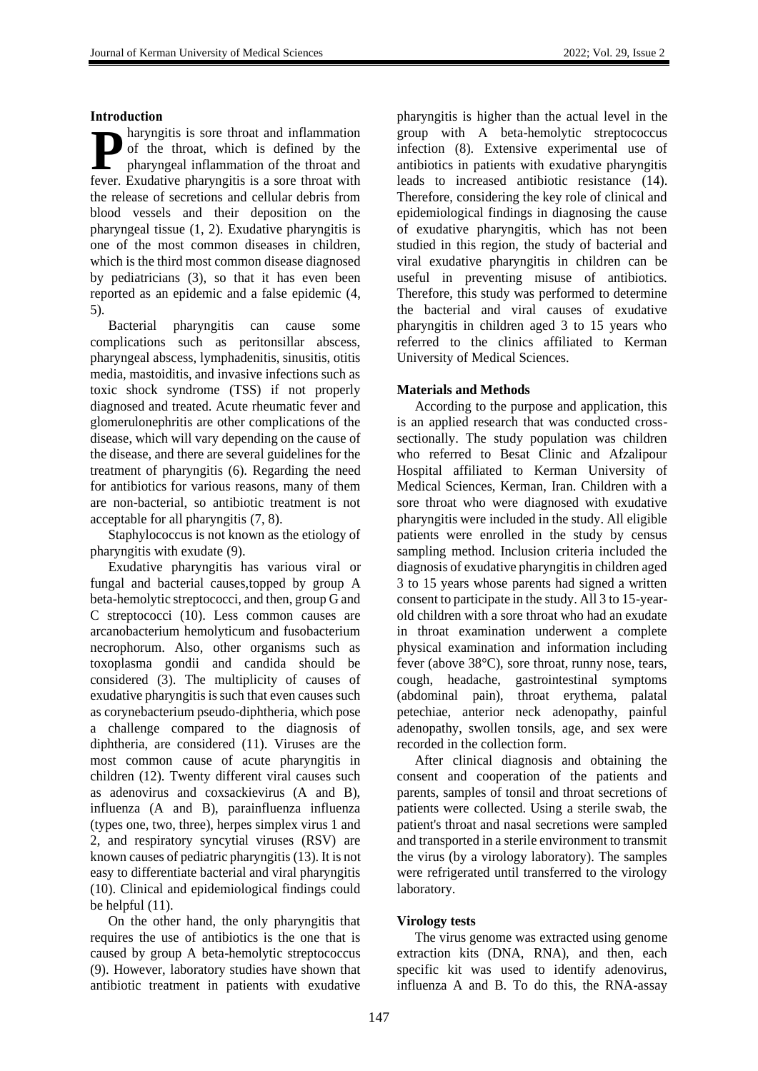#### **Introduction**

haryngitis is sore throat and inflammation of the throat, which is defined by the pharyngeal inflammation of the throat and **P** of the throat, which is defined by the pharyngeal inflammation of the throat and fever. Exudative pharyngitis is a sore throat with the release of secretions and cellular debris from blood vessels and their deposition on the pharyngeal tissue (1, 2). Exudative pharyngitis is one of the most common diseases in children, which is the third most common disease diagnosed by pediatricians (3), so that it has even been reported as an epidemic and a false epidemic (4, 5).

Bacterial pharyngitis can cause some complications such as peritonsillar abscess, pharyngeal abscess, lymphadenitis, sinusitis, otitis media, mastoiditis, and invasive infections such as toxic shock syndrome (TSS) if not properly diagnosed and treated. Acute rheumatic fever and glomerulonephritis are other complications of the disease, which will vary depending on the cause of the disease, and there are several guidelines for the treatment of pharyngitis (6). Regarding the need for antibiotics for various reasons, many of them are non-bacterial, so antibiotic treatment is not acceptable for all pharyngitis (7, 8).

Staphylococcus is not known as the etiology of pharyngitis with exudate (9).

Exudative pharyngitis has various viral or fungal and bacterial causes,topped by group A beta-hemolytic streptococci, and then, group G and C streptococci (10). Less common causes are arcanobacterium hemolyticum and fusobacterium necrophorum. Also, other organisms such as toxoplasma gondii and candida should be considered (3). The multiplicity of causes of exudative pharyngitis is such that even causes such as corynebacterium pseudo-diphtheria, which pose a challenge compared to the diagnosis of diphtheria, are considered (11). Viruses are the most common cause of acute pharyngitis in children (12). Twenty different viral causes such as adenovirus and coxsackievirus (A and B), influenza (A and B), parainfluenza influenza (types one, two, three), herpes simplex virus 1 and 2, and respiratory syncytial viruses (RSV) are known causes of pediatric pharyngitis (13). It is not easy to differentiate bacterial and viral pharyngitis (10). Clinical and epidemiological findings could be helpful (11).

On the other hand, the only pharyngitis that requires the use of antibiotics is the one that is caused by group A beta-hemolytic streptococcus (9). However, laboratory studies have shown that antibiotic treatment in patients with exudative

pharyngitis is higher than the actual level in the group with A beta-hemolytic streptococcus infection (8). Extensive experimental use of antibiotics in patients with exudative pharyngitis leads to increased antibiotic resistance (14). Therefore, considering the key role of clinical and epidemiological findings in diagnosing the cause of exudative pharyngitis, which has not been studied in this region, the study of bacterial and viral exudative pharyngitis in children can be useful in preventing misuse of antibiotics. Therefore, this study was performed to determine the bacterial and viral causes of exudative pharyngitis in children aged 3 to 15 years who referred to the clinics affiliated to Kerman University of Medical Sciences.

## **Materials and Methods**

According to the purpose and application, this is an applied research that was conducted crosssectionally. The study population was children who referred to Besat Clinic and Afzalipour Hospital affiliated to Kerman University of Medical Sciences, Kerman, Iran. Children with a sore throat who were diagnosed with exudative pharyngitis were included in the study. All eligible patients were enrolled in the study by census sampling method. Inclusion criteria included the diagnosis of exudative pharyngitis in children aged 3 to 15 years whose parents had signed a written consent to participate in the study. All 3 to 15-yearold children with a sore throat who had an exudate in throat examination underwent a complete physical examination and information including fever (above 38°C), sore throat, runny nose, tears, cough, headache, gastrointestinal symptoms (abdominal pain), throat erythema, palatal petechiae, anterior neck adenopathy, painful adenopathy, swollen tonsils, age, and sex were recorded in the collection form.

After clinical diagnosis and obtaining the consent and cooperation of the patients and parents, samples of tonsil and throat secretions of patients were collected. Using a sterile swab, the patient's throat and nasal secretions were sampled and transported in a sterile environment to transmit the virus (by a virology laboratory). The samples were refrigerated until transferred to the virology laboratory.

## **Virology tests**

The virus genome was extracted using genome extraction kits (DNA, RNA), and then, each specific kit was used to identify adenovirus, influenza A and B. To do this, the RNA-assay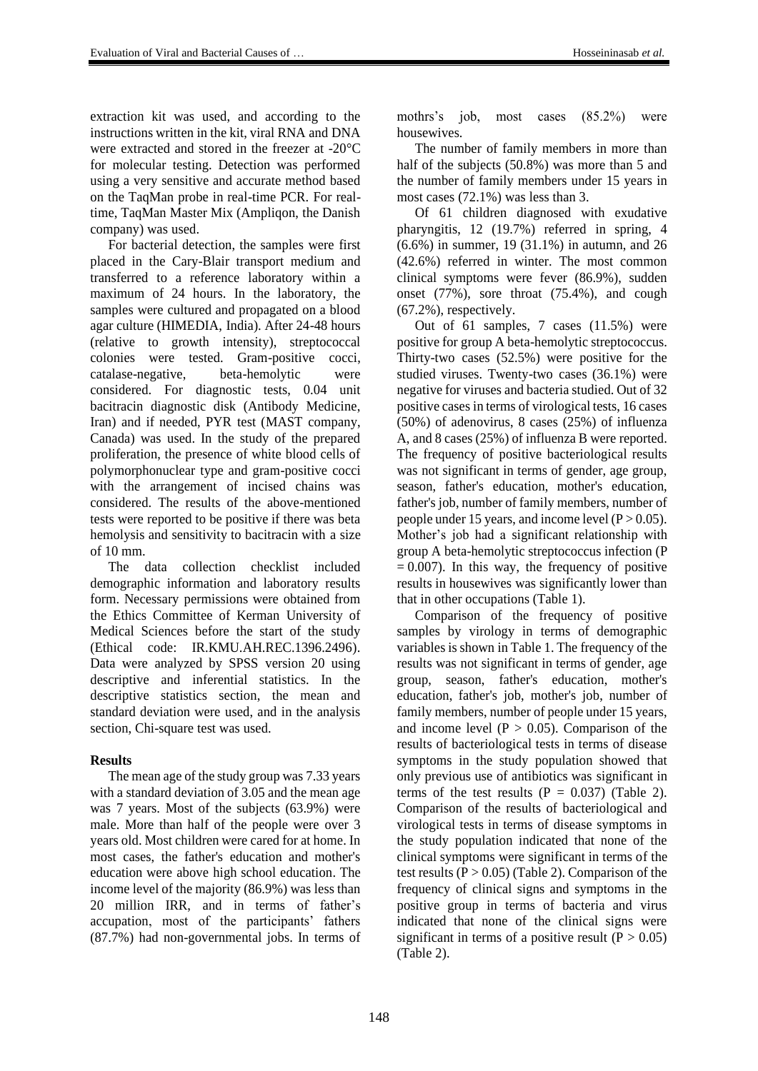extraction kit was used, and according to the instructions written in the kit, viral RNA and DNA were extracted and stored in the freezer at -20°C for molecular testing. Detection was performed using a very sensitive and accurate method based on the TaqMan probe in real-time PCR. For realtime, TaqMan Master Mix (Ampliqon, the Danish company) was used.

For bacterial detection, the samples were first placed in the Cary-Blair transport medium and transferred to a reference laboratory within a maximum of 24 hours. In the laboratory, the samples were cultured and propagated on a blood agar culture (HIMEDIA, India). After 24-48 hours (relative to growth intensity), streptococcal colonies were tested. Gram-positive cocci, catalase-negative, beta-hemolytic were considered. For diagnostic tests, 0.04 unit bacitracin diagnostic disk (Antibody Medicine, Iran) and if needed, PYR test (MAST company, Canada) was used. In the study of the prepared proliferation, the presence of white blood cells of polymorphonuclear type and gram-positive cocci with the arrangement of incised chains was considered. The results of the above-mentioned tests were reported to be positive if there was beta hemolysis and sensitivity to bacitracin with a size of 10 mm.

The data collection checklist included demographic information and laboratory results form. Necessary permissions were obtained from the Ethics Committee of Kerman University of Medical Sciences before the start of the study (Ethical code: IR.KMU.AH.REC.1396.2496). Data were analyzed by SPSS version 20 using descriptive and inferential statistics. In the descriptive statistics section, the mean and standard deviation were used, and in the analysis section, Chi-square test was used.

# **Results**

The mean age of the study group was 7.33 years with a standard deviation of 3.05 and the mean age was 7 years. Most of the subjects (63.9%) were male. More than half of the people were over 3 years old. Most children were cared for at home. In most cases, the father's education and mother's education were above high school education. The income level of the majority (86.9%) was less than 20 million IRR, and in terms of father's accupation, most of the participants' fathers (87.7%) had non-governmental jobs. In terms of mothrs's job, most cases (85.2%) were housewives.

The number of family members in more than half of the subjects (50.8%) was more than 5 and the number of family members under 15 years in most cases (72.1%) was less than 3.

Of 61 children diagnosed with exudative pharyngitis, 12 (19.7%) referred in spring, 4 (6.6%) in summer, 19 (31.1%) in autumn, and 26 (42.6%) referred in winter. The most common clinical symptoms were fever (86.9%), sudden onset (77%), sore throat (75.4%), and cough (67.2%), respectively.

Out of 61 samples, 7 cases (11.5%) were positive for group A beta-hemolytic streptococcus. Thirty-two cases (52.5%) were positive for the studied viruses. Twenty-two cases (36.1%) were negative for viruses and bacteria studied. Out of 32 positive cases in terms of virological tests, 16 cases (50%) of adenovirus, 8 cases (25%) of influenza A, and 8 cases (25%) of influenza B were reported. The frequency of positive bacteriological results was not significant in terms of gender, age group, season, father's education, mother's education, father's job, number of family members, number of people under 15 years, and income level  $(P > 0.05)$ . Mother's job had a significant relationship with group A beta-hemolytic streptococcus infection (P  $= 0.007$ ). In this way, the frequency of positive results in housewives was significantly lower than that in other occupations (Table 1).

Comparison of the frequency of positive samples by virology in terms of demographic variables is shown in Table 1. The frequency of the results was not significant in terms of gender, age group, season, father's education, mother's education, father's job, mother's job, number of family members, number of people under 15 years, and income level ( $P > 0.05$ ). Comparison of the results of bacteriological tests in terms of disease symptoms in the study population showed that only previous use of antibiotics was significant in terms of the test results  $(P = 0.037)$  (Table 2). Comparison of the results of bacteriological and virological tests in terms of disease symptoms in the study population indicated that none of the clinical symptoms were significant in terms of the test results  $(P > 0.05)$  (Table 2). Comparison of the frequency of clinical signs and symptoms in the positive group in terms of bacteria and virus indicated that none of the clinical signs were significant in terms of a positive result ( $P > 0.05$ ) (Table 2).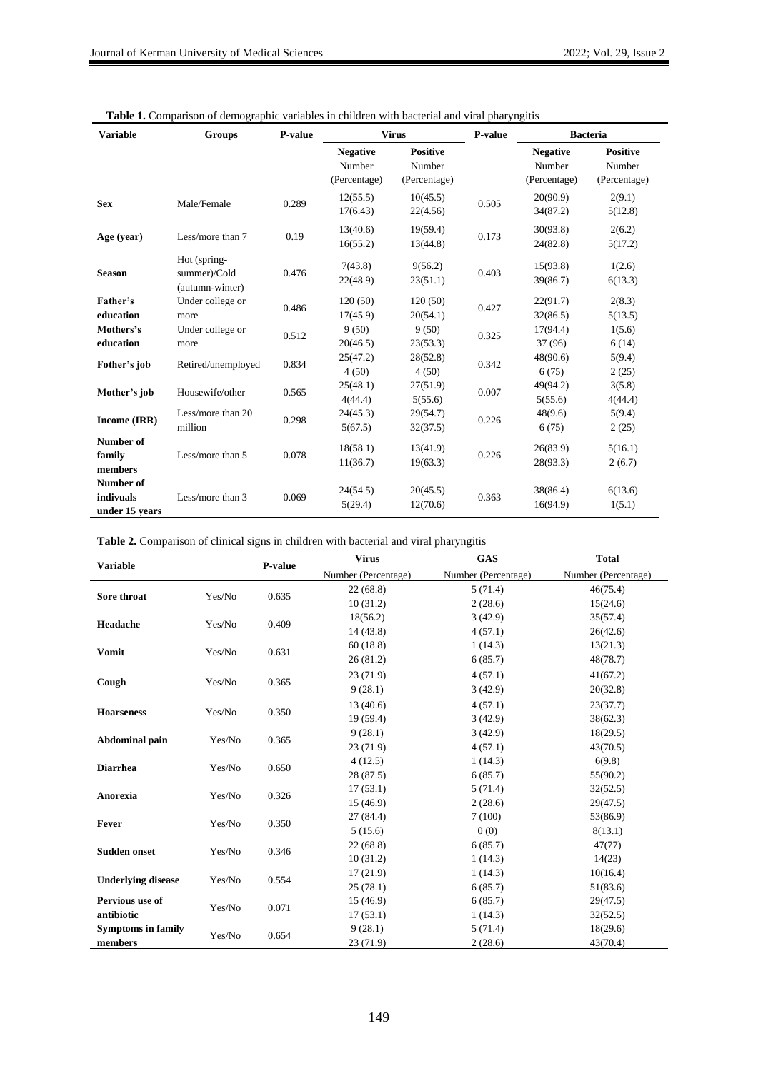| <b>Variable</b>                          | <b>Groups</b>                                   | P-value | <b>Virus</b>                              |                                           | P-value | <b>Bacteria</b>                           |                                           |
|------------------------------------------|-------------------------------------------------|---------|-------------------------------------------|-------------------------------------------|---------|-------------------------------------------|-------------------------------------------|
|                                          |                                                 |         | <b>Negative</b><br>Number<br>(Percentage) | <b>Positive</b><br>Number<br>(Percentage) |         | <b>Negative</b><br>Number<br>(Percentage) | <b>Positive</b><br>Number<br>(Percentage) |
| <b>Sex</b>                               | Male/Female                                     | 0.289   | 12(55.5)<br>17(6.43)                      | 10(45.5)<br>22(4.56)                      | 0.505   | 20(90.9)<br>34(87.2)                      | 2(9.1)<br>5(12.8)                         |
| Age (year)                               | Less/more than 7                                | 0.19    | 13(40.6)<br>16(55.2)                      | 19(59.4)<br>13(44.8)                      | 0.173   | 30(93.8)<br>24(82.8)                      | 2(6.2)<br>5(17.2)                         |
| <b>Season</b>                            | Hot (spring-<br>summer)/Cold<br>(autumn-winter) | 0.476   | 7(43.8)<br>22(48.9)                       | 9(56.2)<br>23(51.1)                       | 0.403   | 15(93.8)<br>39(86.7)                      | 1(2.6)<br>6(13.3)                         |
| Father's<br>education                    | Under college or<br>more                        | 0.486   | 120(50)<br>17(45.9)                       | 120(50)<br>20(54.1)                       | 0.427   | 22(91.7)<br>32(86.5)                      | 2(8.3)<br>5(13.5)                         |
| Mothers's<br>education                   | Under college or<br>more                        | 0.512   | 9(50)<br>20(46.5)                         | 9(50)<br>23(53.3)                         | 0.325   | 17(94.4)<br>37 (96)                       | 1(5.6)<br>6(14)                           |
| Fother's job                             | Retired/unemployed                              | 0.834   | 25(47.2)<br>4(50)                         | 28(52.8)<br>4(50)                         | 0.342   | 48(90.6)<br>6(75)                         | 5(9.4)<br>2(25)                           |
| Mother's job                             | Housewife/other                                 | 0.565   | 25(48.1)<br>4(44.4)                       | 27(51.9)<br>5(55.6)                       | 0.007   | 49(94.2)<br>5(55.6)                       | 3(5.8)<br>4(44.4)                         |
| Income (IRR)                             | Less/more than 20<br>million                    | 0.298   | 24(45.3)<br>5(67.5)                       | 29(54.7)<br>32(37.5)                      | 0.226   | 48(9.6)<br>6(75)                          | 5(9.4)<br>2(25)                           |
| Number of<br>family<br>members           | Less/more than 5                                | 0.078   | 18(58.1)<br>11(36.7)                      | 13(41.9)<br>19(63.3)                      | 0.226   | 26(83.9)<br>28(93.3)                      | 5(16.1)<br>2(6.7)                         |
| Number of<br>indivuals<br>under 15 years | Less/more than 3                                | 0.069   | 24(54.5)<br>5(29.4)                       | 20(45.5)<br>12(70.6)                      | 0.363   | 38(86.4)<br>16(94.9)                      | 6(13.6)<br>1(5.1)                         |

#### **Table 1.** Comparison of demographic variables in children with bacterial and viral pharyngitis

**Table 2.** Comparison of clinical signs in children with bacterial and viral pharyngitis

| <b>Variable</b>           |        | P-value | <b>Virus</b>        | <b>GAS</b>          | <b>Total</b>        |
|---------------------------|--------|---------|---------------------|---------------------|---------------------|
|                           |        |         | Number (Percentage) | Number (Percentage) | Number (Percentage) |
| Sore throat               | Yes/No | 0.635   | 22(68.8)            | 5(71.4)             | 46(75.4)            |
|                           |        |         | 10(31.2)            | 2(28.6)             | 15(24.6)            |
| Headache                  | Yes/No | 0.409   | 18(56.2)            | 3(42.9)             | 35(57.4)            |
|                           |        |         | 14(43.8)            | 4(57.1)             | 26(42.6)            |
| <b>Vomit</b>              | Yes/No | 0.631   | 60(18.8)            | 1(14.3)             | 13(21.3)            |
|                           |        |         | 26(81.2)            | 6(85.7)             | 48(78.7)            |
| Cough                     | Yes/No | 0.365   | 23(71.9)            | 4(57.1)             | 41(67.2)            |
|                           |        |         | 9(28.1)             | 3(42.9)             | 20(32.8)            |
|                           | Yes/No | 0.350   | 13(40.6)            | 4(57.1)             | 23(37.7)            |
| <b>Hoarseness</b>         |        |         | 19(59.4)            | 3(42.9)             | 38(62.3)            |
|                           | Yes/No | 0.365   | 9(28.1)             | 3(42.9)             | 18(29.5)            |
| <b>Abdominal pain</b>     |        |         | 23(71.9)            | 4(57.1)             | 43(70.5)            |
| <b>Diarrhea</b>           | Yes/No | 0.650   | 4(12.5)             | 1(14.3)             | 6(9.8)              |
|                           |        |         | 28 (87.5)           | 6(85.7)             | 55(90.2)            |
| Anorexia                  | Yes/No | 0.326   | 17(53.1)            | 5(71.4)             | 32(52.5)            |
|                           |        |         | 15(46.9)            | 2(28.6)             | 29(47.5)            |
| Fever                     | Yes/No | 0.350   | 27(84.4)            | 7(100)              | 53(86.9)            |
|                           |        |         | 5(15.6)             | 0(0)                | 8(13.1)             |
| <b>Sudden onset</b>       | Yes/No | 0.346   | 22(68.8)            | 6(85.7)             | 47(77)              |
|                           |        |         | 10(31.2)            | 1(14.3)             | 14(23)              |
| <b>Underlying disease</b> | Yes/No | 0.554   | 17(21.9)            | 1(14.3)             | 10(16.4)            |
|                           |        |         | 25(78.1)            | 6(85.7)             | 51(83.6)            |
| Pervious use of           | Yes/No | 0.071   | 15(46.9)            | 6(85.7)             | 29(47.5)            |
| antibiotic                |        |         | 17(53.1)            | 1(14.3)             | 32(52.5)            |
| <b>Symptoms in family</b> | Yes/No |         | 9(28.1)             | 5(71.4)             | 18(29.6)            |
| members                   |        | 0.654   | 23 (71.9)           | 2(28.6)             | 43(70.4)            |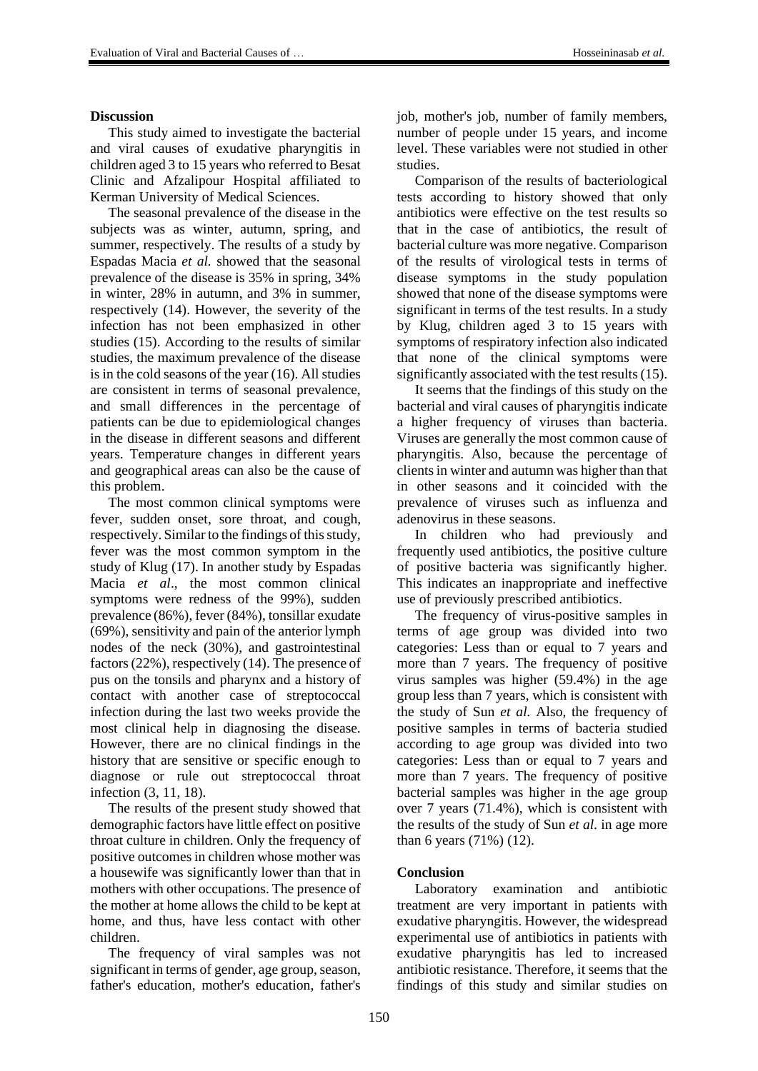#### **Discussion**

This study aimed to investigate the bacterial and viral causes of exudative pharyngitis in children aged 3 to 15 years who referred to Besat Clinic and Afzalipour Hospital affiliated to Kerman University of Medical Sciences.

The seasonal prevalence of the disease in the subjects was as winter, autumn, spring, and summer, respectively. The results of a study by Espadas Macia *et al.* showed that the seasonal prevalence of the disease is 35% in spring, 34% in winter, 28% in autumn, and 3% in summer, respectively (14). However, the severity of the infection has not been emphasized in other studies (15). According to the results of similar studies, the maximum prevalence of the disease is in the cold seasons of the year (16). All studies are consistent in terms of seasonal prevalence, and small differences in the percentage of patients can be due to epidemiological changes in the disease in different seasons and different years. Temperature changes in different years and geographical areas can also be the cause of this problem.

The most common clinical symptoms were fever, sudden onset, sore throat, and cough, respectively. Similar to the findings of this study, fever was the most common symptom in the study of Klug (17). In another study by Espadas Macia *et al*., the most common clinical symptoms were redness of the 99%), sudden prevalence (86%), fever (84%), tonsillar exudate (69%), sensitivity and pain of the anterior lymph nodes of the neck (30%), and gastrointestinal factors (22%), respectively (14). The presence of pus on the tonsils and pharynx and a history of contact with another case of streptococcal infection during the last two weeks provide the most clinical help in diagnosing the disease. However, there are no clinical findings in the history that are sensitive or specific enough to diagnose or rule out streptococcal throat infection (3, 11, 18).

The results of the present study showed that demographic factors have little effect on positive throat culture in children. Only the frequency of positive outcomes in children whose mother was a housewife was significantly lower than that in mothers with other occupations. The presence of the mother at home allows the child to be kept at home, and thus, have less contact with other children.

The frequency of viral samples was not significant in terms of gender, age group, season, father's education, mother's education, father's

job, mother's job, number of family members, number of people under 15 years, and income level. These variables were not studied in other studies.

Comparison of the results of bacteriological tests according to history showed that only antibiotics were effective on the test results so that in the case of antibiotics, the result of bacterial culture was more negative. Comparison of the results of virological tests in terms of disease symptoms in the study population showed that none of the disease symptoms were significant in terms of the test results. In a study by Klug, children aged 3 to 15 years with symptoms of respiratory infection also indicated that none of the clinical symptoms were significantly associated with the test results (15).

It seems that the findings of this study on the bacterial and viral causes of pharyngitis indicate a higher frequency of viruses than bacteria. Viruses are generally the most common cause of pharyngitis. Also, because the percentage of clients in winter and autumn was higher than that in other seasons and it coincided with the prevalence of viruses such as influenza and adenovirus in these seasons.

In children who had previously and frequently used antibiotics, the positive culture of positive bacteria was significantly higher. This indicates an inappropriate and ineffective use of previously prescribed antibiotics.

The frequency of virus-positive samples in terms of age group was divided into two categories: Less than or equal to 7 years and more than 7 years. The frequency of positive virus samples was higher (59.4%) in the age group less than 7 years, which is consistent with the study of Sun *et al.* Also, the frequency of positive samples in terms of bacteria studied according to age group was divided into two categories: Less than or equal to 7 years and more than 7 years. The frequency of positive bacterial samples was higher in the age group over 7 years (71.4%), which is consistent with the results of the study of Sun *et al.* in age more than 6 years (71%) (12).

## **Conclusion**

Laboratory examination and antibiotic treatment are very important in patients with exudative pharyngitis. However, the widespread experimental use of antibiotics in patients with exudative pharyngitis has led to increased antibiotic resistance. Therefore, it seems that the findings of this study and similar studies on